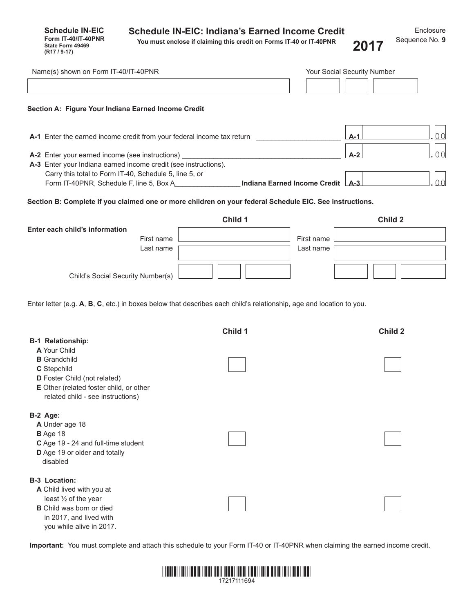**Schedule IN-EIC Form IT-40/IT-40PNR State Form 49469**

**You must enclose if claiming this credit on Forms IT-40 or IT-40PNR (R17 / 9-17) 2017**

| Name(s) shown on Form IT-40/IT-40PNR                                                                                                                                                   |                                  |                         | Your Social Security Number |
|----------------------------------------------------------------------------------------------------------------------------------------------------------------------------------------|----------------------------------|-------------------------|-----------------------------|
| Section A: Figure Your Indiana Earned Income Credit                                                                                                                                    |                                  |                         |                             |
| A-1 Enter the earned income credit from your federal income tax return                                                                                                                 |                                  |                         | 00<br>$A-1$                 |
| A-2 Enter your earned income (see instructions)<br>A-3 Enter your Indiana earned income credit (see instructions).                                                                     |                                  |                         | 00<br>$A-2$                 |
| Carry this total to Form IT-40, Schedule 5, line 5, or                                                                                                                                 | Indiana Earned Income Credit A-3 |                         | 00                          |
| Section B: Complete if you claimed one or more children on your federal Schedule EIC. See instructions.                                                                                |                                  |                         |                             |
| Enter each child's information<br>First name<br>Last name                                                                                                                              | Child 1                          | First name<br>Last name | Child 2                     |
| Child's Social Security Number(s)                                                                                                                                                      |                                  |                         |                             |
| Enter letter (e.g. A, B, C, etc.) in boxes below that describes each child's relationship, age and location to you.<br><b>B-1 Relationship:</b><br>A Your Child<br><b>B</b> Grandchild | Child 1                          |                         | Child 2                     |
| C Stepchild<br>D Foster Child (not related)<br>E Other (related foster child, or other<br>related child - see instructions)                                                            |                                  |                         |                             |
| B-2 Age:<br>A Under age 18<br>B Age 18<br>C Age 19 - 24 and full-time student<br>D Age 19 or older and totally<br>disabled                                                             |                                  |                         |                             |
| <b>B-3 Location:</b><br>A Child lived with you at<br>least 1/2 of the year<br><b>B</b> Child was born or died<br>in 2017, and lived with<br>you while alive in 2017.                   |                                  |                         |                             |

**Important:** You must complete and attach this schedule to your Form IT-40 or IT-40PNR when claiming the earned income credit.